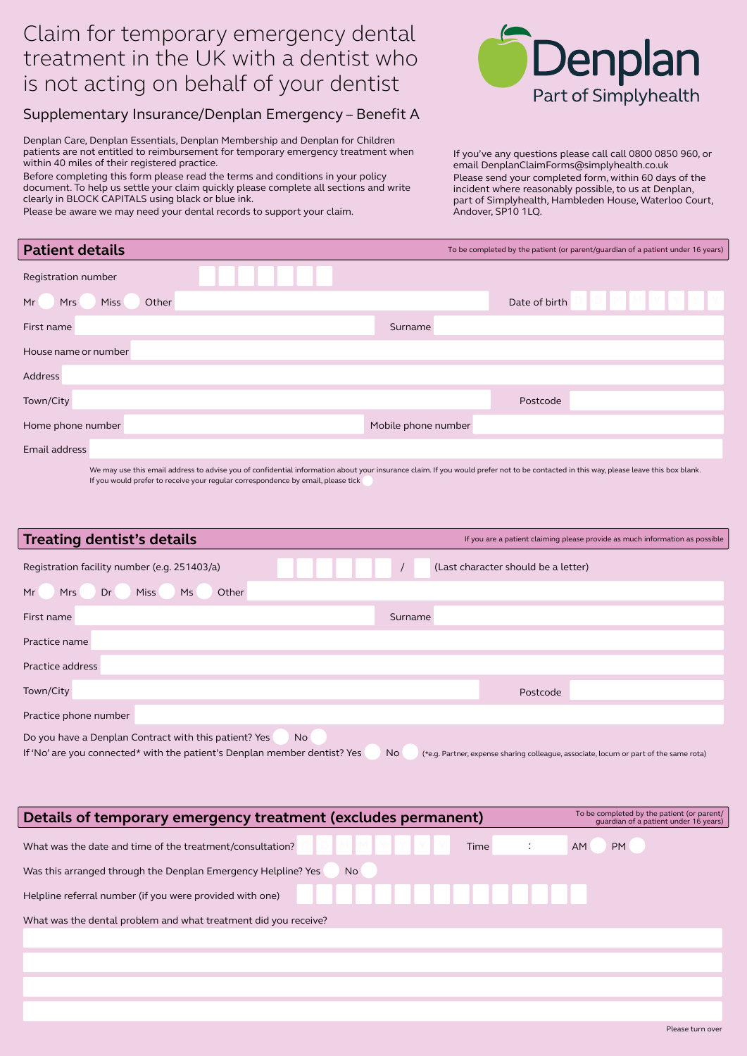## Claim for temporary emergency dental treatment in the UK with a dentist who is not acting on behalf of your dentist

## Supplementary Insurance/Denplan Emergency – Benefit A

Denplan Care, Denplan Essentials, Denplan Membership and Denplan for Children patients are not entitled to reimbursement for temporary emergency treatment when within 40 miles of their registered practice.

Before completing this form please read the terms and conditions in your policy document. To help us settle your claim quickly please complete all sections and write clearly in BLOCK CAPITALS using black or blue ink.

Please be aware we may need your dental records to support your claim.



If you've any questions please call call 0800 0850 960, or email DenplanClaimForms@simplyhealth.co.uk Please send your completed form, within 60 days of the incident where reasonably possible, to us at Denplan, part of Simplyhealth, Hambleden House, Waterloo Court, Andover, SP10 1LQ.

| <b>Patient details</b>            | To be completed by the patient (or parent/guardian of a patient under 16 years) |
|-----------------------------------|---------------------------------------------------------------------------------|
| Registration number               |                                                                                 |
| Other<br>Miss<br>Mr<br><b>Mrs</b> | Date of birth                                                                   |
| First name                        | Surname                                                                         |
| House name or number              |                                                                                 |
| Address                           |                                                                                 |
| Town/City                         | Postcode                                                                        |
| Home phone number                 | Mobile phone number                                                             |
| Email address                     |                                                                                 |
|                                   |                                                                                 |

We may use this email address to advise you of confidential information about your insurance claim. If you would prefer not to be contacted in this way, please leave this box blank. If you would prefer to receive your regular correspondence by email, please tick

| <b>Treating dentist's details</b>                                                                                                        | If you are a patient claiming please provide as much information as possible                       |
|------------------------------------------------------------------------------------------------------------------------------------------|----------------------------------------------------------------------------------------------------|
| Registration facility number (e.g. 251403/a)                                                                                             | (Last character should be a letter)                                                                |
| Ms<br>Other<br>Dr<br><b>Miss</b><br>Mr<br>Mrs                                                                                            |                                                                                                    |
| First name                                                                                                                               | Surname                                                                                            |
| Practice name                                                                                                                            |                                                                                                    |
| Practice address                                                                                                                         |                                                                                                    |
| Town/City                                                                                                                                | Postcode                                                                                           |
| Practice phone number                                                                                                                    |                                                                                                    |
| Do you have a Denplan Contract with this patient? Yes<br>No<br>If 'No' are you connected* with the patient's Denplan member dentist? Yes | <b>No</b><br>(*e.g. Partner, expense sharing colleague, associate, locum or part of the same rota) |

| Details of temporary emergency treatment (excludes permanent)       | To be completed by the patient (or parent/<br>quardian of a patient under 16 years) |
|---------------------------------------------------------------------|-------------------------------------------------------------------------------------|
| What was the date and time of the treatment/consultation?<br>Time   | PM<br><b>AM</b>                                                                     |
| Was this arranged through the Denplan Emergency Helpline? Yes<br>No |                                                                                     |
| Helpline referral number (if you were provided with one)            |                                                                                     |
| What was the dental problem and what treatment did you receive?     |                                                                                     |
|                                                                     |                                                                                     |
|                                                                     |                                                                                     |
|                                                                     |                                                                                     |